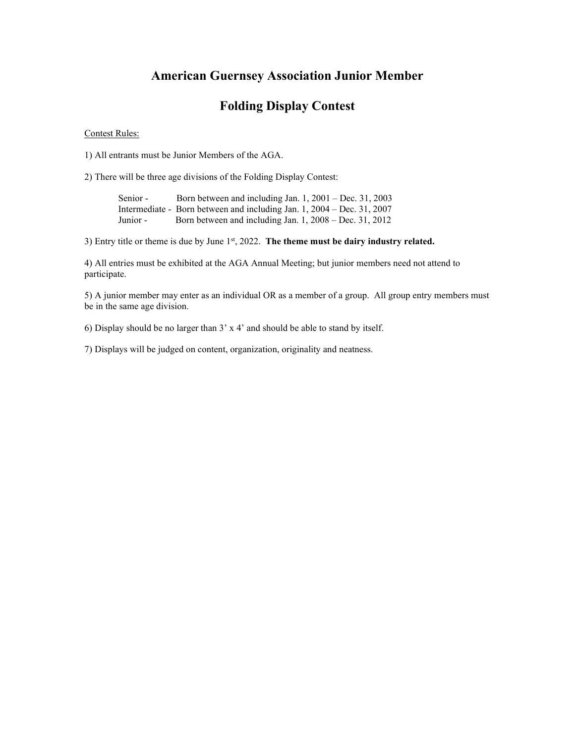### **American Guernsey Association Junior Member**

### **Folding Display Contest**

#### Contest Rules:

1) All entrants must be Junior Members of the AGA.

2) There will be three age divisions of the Folding Display Contest:

Senior - Born between and including Jan. 1, 2001 – Dec. 31, 2003 Intermediate - Born between and including Jan. 1, 2004 – Dec. 31, 2007 Junior - Born between and including Jan. 1, 2008 – Dec. 31, 2012

3) Entry title or theme is due by June 1<sup>st</sup>, 2022. The theme must be dairy industry related.

4) All entries must be exhibited at the AGA Annual Meeting; but junior members need not attend to participate.

5) A junior member may enter as an individual OR as a member of a group. All group entry members must be in the same age division.

6) Display should be no larger than 3' x 4' and should be able to stand by itself.

7) Displays will be judged on content, organization, originality and neatness.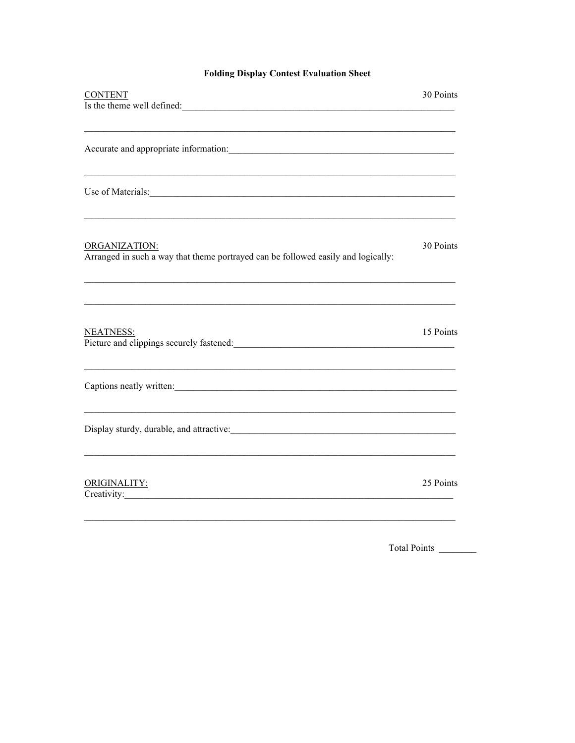### **Folding Display Contest Evaluation Sheet**

| 30 Points                                                                                               |
|---------------------------------------------------------------------------------------------------------|
|                                                                                                         |
|                                                                                                         |
| Use of Materials: New York Changes and Section 2014 19:00 the Changes of Materials:                     |
| 30 Points                                                                                               |
| 15 Points<br>Picture and clippings securely fastened:<br><u>Letter and clippings securely fastened:</u> |
|                                                                                                         |
|                                                                                                         |
| 25 Points                                                                                               |
|                                                                                                         |

Total Points